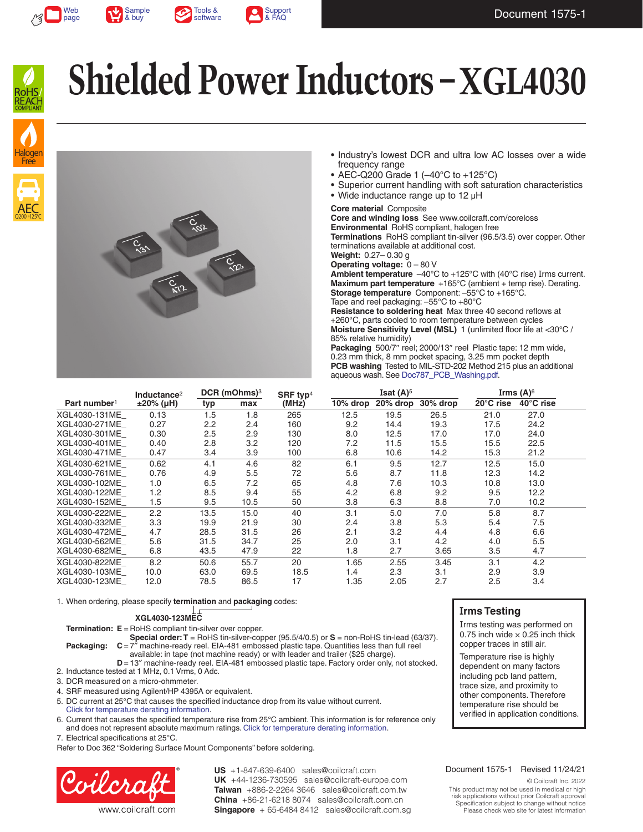







# **Shielded Power Inductors – XGL4030**



- Industry's lowest DCR and ultra low AC losses over a wide frequency range
- AEC-Q200 Grade 1 (-40°C to +125°C)
- Superior current handling with soft saturation characteristics
- Wide inductance range up to 12 µH

#### **Core material** Composite

**Core and winding loss** See www.coilcraft.com/coreloss **Environmental** RoHS compliant, halogen free **Terminations** RoHS compliant tin-silver (96.5/3.5) over copper. Other terminations available at additional cost. **Weight:** 0.27– 0.30 g

**Operating voltage:** 0 – 80 V

**Ambient temperature**  $-40^{\circ}$ C to  $+125^{\circ}$ C with (40°C rise) Irms current. **Maximum part temperature** +165°C (ambient + temp rise). [Derating.](http://www.coilcraft.com/apps/compare/compare_power.cfm) **Storage temperature** Component: –55°C to +165°C. Tape and reel packaging: –55°C to +80°C

**Resistance to soldering heat** Max three 40 second reflows at +260°C, parts cooled to room temperature between cycles **Moisture Sensitivity Level (MSL)** 1 (unlimited floor life at <30°C / 85% relative humidity)

Packaging 500/7" reel; 2000/13" reel Plastic tape: 12 mm wide, 0.23 mm thick, 8 mm pocket spacing, 3.25 mm pocket depth **PCB washing** Tested to MIL-STD-202 Method 215 plus an additional aqueous wash. See [Doc787\\_PCB\\_Washing.pdf](http://www.coilcraft.com/pdfs/Doc787_PCB_Washing.pdf).

|                          | Inductance <sup>2</sup> | DCR (mOhms) <sup>3</sup> |      | SRF typ $4$ | <b>Isat <math>(A)^5</math></b> |          |          | Irms $(A)$ <sup>6</sup> |                     |
|--------------------------|-------------------------|--------------------------|------|-------------|--------------------------------|----------|----------|-------------------------|---------------------|
| Part number <sup>1</sup> | $±20\%$ (µH)            | typ                      | max  | (MHz)       | 10% drop                       | 20% drop | 30% drop | 20°C rise               | $40^{\circ}$ C rise |
| XGL4030-131ME            | 0.13                    | 1.5                      | 1.8  | 265         | 12.5                           | 19.5     | 26.5     | 21.0                    | 27.0                |
| XGL4030-271ME            | 0.27                    | 2.2                      | 2.4  | 160         | 9.2                            | 14.4     | 19.3     | 17.5                    | 24.2                |
| XGL4030-301ME            | 0.30                    | 2.5                      | 2.9  | 130         | 8.0                            | 12.5     | 17.0     | 17.0                    | 24.0                |
| XGL4030-401ME            | 0.40                    | 2.8                      | 3.2  | 120         | 7.2                            | 11.5     | 15.5     | 15.5                    | 22.5                |
| XGL4030-471ME            | 0.47                    | 3.4                      | 3.9  | 100         | 6.8                            | 10.6     | 14.2     | 15.3                    | 21.2                |
| XGL4030-621ME            | 0.62                    | 4.1                      | 4.6  | 82          | 6.1                            | 9.5      | 12.7     | 12.5                    | 15.0                |
| XGL4030-761ME            | 0.76                    | 4.9                      | 5.5  | 72          | 5.6                            | 8.7      | 11.8     | 12.3                    | 14.2                |
| XGL4030-102ME            | 1.0                     | 6.5                      | 7.2  | 65          | 4.8                            | 7.6      | 10.3     | 10.8                    | 13.0                |
| XGL4030-122ME            | 1.2                     | 8.5                      | 9.4  | 55          | 4.2                            | 6.8      | 9.2      | 9.5                     | 12.2                |
| XGL4030-152ME            | 1.5                     | 9.5                      | 10.5 | 50          | 3.8                            | 6.3      | 8.8      | 7.0                     | 10.2                |
| XGL4030-222ME            | 2.2                     | 13.5                     | 15.0 | 40          | 3.1                            | 5.0      | 7.0      | 5.8                     | 8.7                 |
| XGL4030-332ME            | 3.3                     | 19.9                     | 21.9 | 30          | 2.4                            | 3.8      | 5.3      | 5.4                     | 7.5                 |
| XGL4030-472ME            | 4.7                     | 28.5                     | 31.5 | 26          | 2.1                            | 3.2      | 4.4      | 4.8                     | 6.6                 |
| XGL4030-562ME            | 5.6                     | 31.5                     | 34.7 | 25          | 2.0                            | 3.1      | 4.2      | 4.0                     | 5.5                 |
| XGL4030-682ME            | 6.8                     | 43.5                     | 47.9 | 22          | 1.8                            | 2.7      | 3.65     | 3.5                     | 4.7                 |
| XGL4030-822ME            | 8.2                     | 50.6                     | 55.7 | 20          | 1.65                           | 2.55     | 3.45     | 3.1                     | 4.2                 |
| XGL4030-103ME            | 10.0                    | 63.0                     | 69.5 | 18.5        | 1.4                            | 2.3      | 3.1      | 2.9                     | 3.9                 |
| XGL4030-123ME            | 12.0                    | 78.5                     | 86.5 | 17          | 1.35                           | 2.05     | 2.7      | 2.5                     | 3.4                 |

1. When ordering, please specify **termination** and **packaging** codes:

#### **XGL4030-123MEC**

**Termination: E** = RoHS compliant tin-silver over copper.

**Special order: T** = RoHS tin-silver-copper (95.5/4/0.5) or **S** = non-RoHS tin-lead (63/37). **Packaging:**  $C = 7<sup>7</sup>$  machine-ready reel. EIA-481 embossed plastic tape. Quantities less than full reel available: in tape (not machine ready) or with leader and trailer (\$25 charge).

- **D** = 13" machine-ready reel. EIA-481 embossed plastic tape. Factory order only, not stocked. 2. Inductance tested at 1 MHz, 0.1 Vrms, 0 Adc.
- 3. DCR measured on a micro-ohmmeter.
- 4. SRF measured using Agilent/HP 4395A or equivalent.
- 5. DC current at 25°C that causes the specified inductance drop from its value without current. [Click for temperature derating information.](http://www.coilcraft.com/apps/compare/compare_power.cfm)
- 6. Current that causes the specified temperature rise from 25°C ambient. This information is for reference only and does not represent absolute maximum ratings. [Click for temperature derating information](http://www.coilcraft.com/apps/compare/compare_power.cfm).
- 7. Electrical specifications at 25°C.

Refer to Doc 362 "Soldering Surface Mount Components" before soldering.



US +1-847-639-6400 sales@coilcraft.com UK +44-1236-730595 sales@coilcraft-europe.com **Taiwan** +886-2-2264 3646 sales@coilcraft.com.tw **China** +86-21-6218 8074 sales@coilcraft.com.cn **Singapore** + 65-6484 8412 sales@coilcraft.com.sg

#### **Irms Testing**

Irms testing was performed on 0.75 inch wide  $\times$  0.25 inch thick copper traces in still air.

Temperature rise is highly dependent on many factors including pcb land pattern, trace size, and proximity to other components. Therefore temperature rise should be verified in application conditions.

#### Document 1575-1 Revised 11/24/21

© Coilcraft Inc. 2022

This product may not be used in medical or high risk applications without prior Coilcraft approval. Specification subject to change without notice. Please check web site for latest information.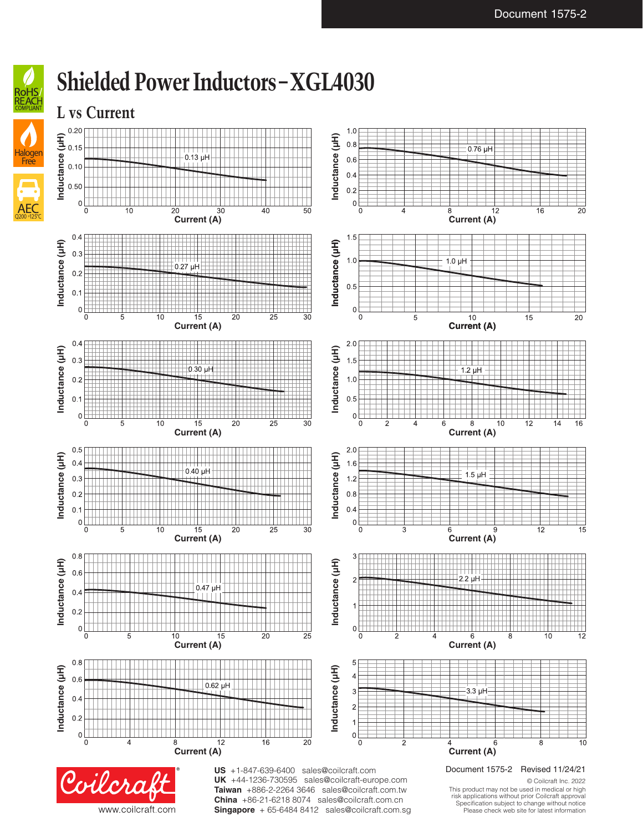

## **Shielded Power Inductors – XGL4030**



**China** +86-21-6218 8074 sales@coilcraft.com.cn **Singapore** + 65-6484 8412 sales@coilcraft.com.sg

www.coilcraft.com

This product may not be used in medical or high risk applications without prior Coilcraft approval. Specification subject to change without notice. Please check web site for latest information.